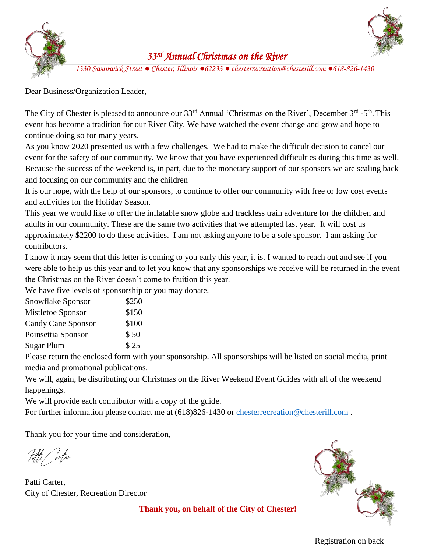



## *33rd Annual Christmas on the River*

*1330 Swanwick Street ● Chester, Illinois ●62233 ● chesterrecreation@chesterill.com ●618-826[-1430](https://www.google.com/url?sa=i&rct=j&q=&esrc=s&source=images&cd=&cad=rja&uact=8&ved=2ahUKEwjZpa2Dx8jhAhWoy4UKHbvsDSwQjRx6BAgBEAU&url=https://pngtree.com/freepng/christmas-decoration-pine-branches_2794604.html&psig=AOvVaw0-rn-Avd1JZXEWbhd2XyBb&ust=1555089770149128)*

[Dear Business/O](https://www.google.com/url?sa=i&rct=j&q=&esrc=s&source=images&cd=&cad=rja&uact=8&ved=2ahUKEwjZpa2Dx8jhAhWoy4UKHbvsDSwQjRx6BAgBEAU&url=https://pngtree.com/freepng/christmas-decoration-pine-branches_2794604.html&psig=AOvVaw0-rn-Avd1JZXEWbhd2XyBb&ust=1555089770149128)rganization Leader,

The City of Chester is pleased to announce our 33<sup>rd</sup> Annual 'Christmas on the River', December 3<sup>rd</sup> -5<sup>th</sup>. This event has become a tradition for our River City. We have watched the event change and grow and hope to continue doing so for many years.

As you know 2020 presented us with a few challenges. We had to make the difficult decision to cancel our event for the safety of our community. We know that you have experienced difficulties during this time as well. Because the success of the weekend is, in part, due to the monetary support of our sponsors we are scaling back and focusing on our community and the children

It is our hope, with the help of our sponsors, to continue to offer our community with free or low cost events and activities for the Holiday Season.

This year we would like to offer the inflatable snow globe and trackless train adventure for the children and adults in our community. These are the same two activities that we attempted last year. It will cost us approximately \$2200 to do these activities. I am not asking anyone to be a sole sponsor. I am asking for contributors.

I know it may seem that this letter is coming to you early this year, it is. I wanted to reach out and see if you were able to help us this year and to let you know that any sponsorships we receive will be returned in the event the Christmas on the River doesn't come to fruition this year.

We have five levels of sponsorship or you may donate.

| Snowflake Sponsor  | \$250 |
|--------------------|-------|
| Mistletoe Sponsor  | \$150 |
| Candy Cane Sponsor | \$100 |
| Poinsettia Sponsor | \$50  |
| <b>Sugar Plum</b>  | \$25  |
|                    |       |

Please return the enclosed form with your sponsorship. All sponsorships will be listed on social media, print media and promotional publications.

We will, again, be distributing our Christmas on the River Weekend Event Guides with all of the weekend happenings.

We will provide each contributor with a copy of the guide.

For further information please contact me at  $(618)826-1430$  or [chesterrecreation@chesterill.com](mailto:chesterrecreation@chesterill.com).

Thank you for your time and consideration,

Patti *C*arter

Patti Carter, City of Chester, Recreation Director



**Thank you, on behalf of the City of Chester!**

Registration on back